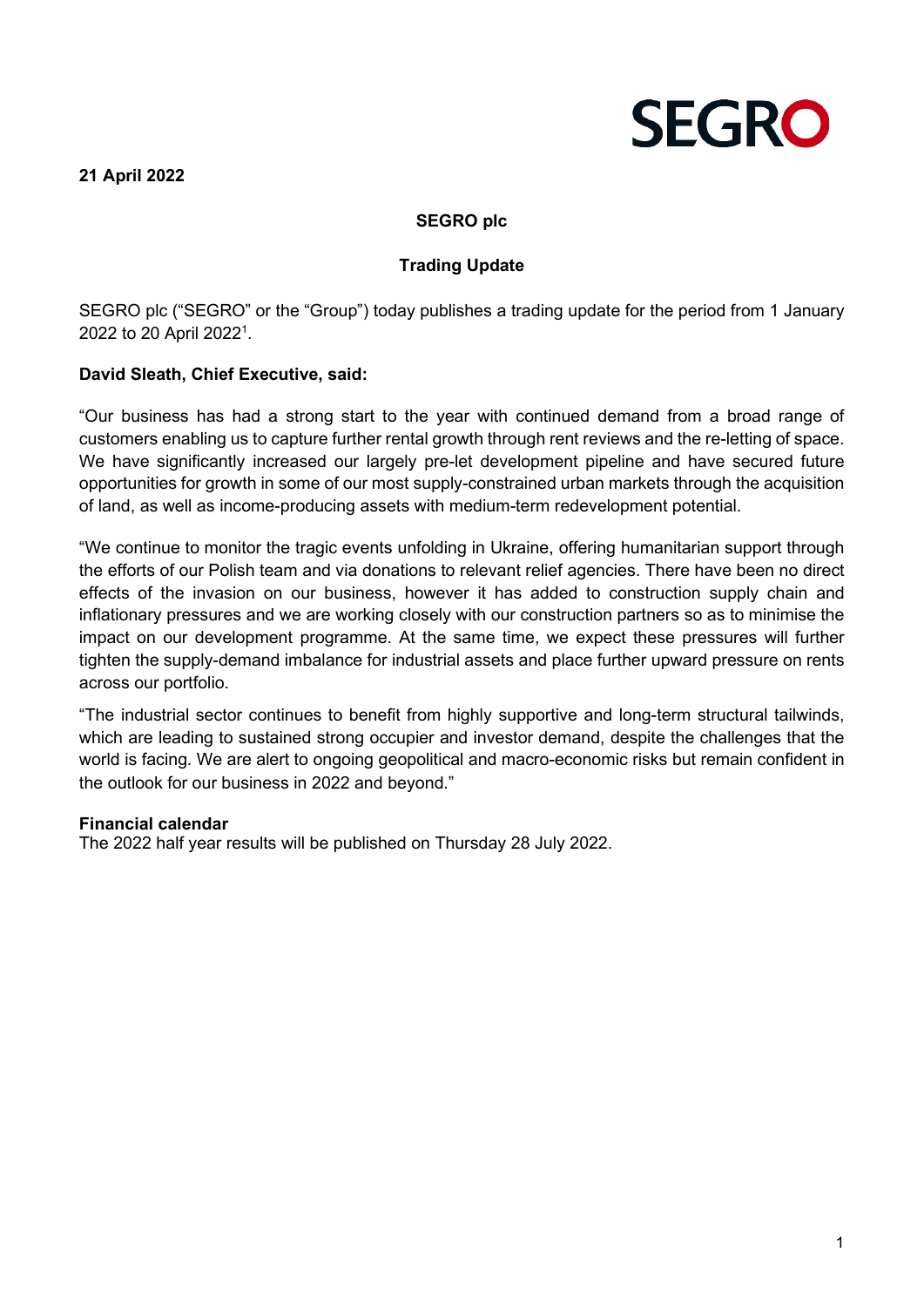**21 April 2022**



# **SEGRO plc**

## **Trading Update**

SEGRO plc ("SEGRO" or the "Group") today publishes a trading update for the period from 1 January 2022 to 20 April 20221 .

## **David Sleath, Chief Executive, said:**

"Our business has had a strong start to the year with continued demand from a broad range of customers enabling us to capture further rental growth through rent reviews and the re-letting of space. We have significantly increased our largely pre-let development pipeline and have secured future opportunities for growth in some of our most supply-constrained urban markets through the acquisition of land, as well as income-producing assets with medium-term redevelopment potential.

"We continue to monitor the tragic events unfolding in Ukraine, offering humanitarian support through the efforts of our Polish team and via donations to relevant relief agencies. There have been no direct effects of the invasion on our business, however it has added to construction supply chain and inflationary pressures and we are working closely with our construction partners so as to minimise the impact on our development programme. At the same time, we expect these pressures will further tighten the supply-demand imbalance for industrial assets and place further upward pressure on rents across our portfolio.

"The industrial sector continues to benefit from highly supportive and long-term structural tailwinds, which are leading to sustained strong occupier and investor demand, despite the challenges that the world is facing. We are alert to ongoing geopolitical and macro-economic risks but remain confident in the outlook for our business in 2022 and beyond."

### **Financial calendar**

The 2022 half year results will be published on Thursday 28 July 2022.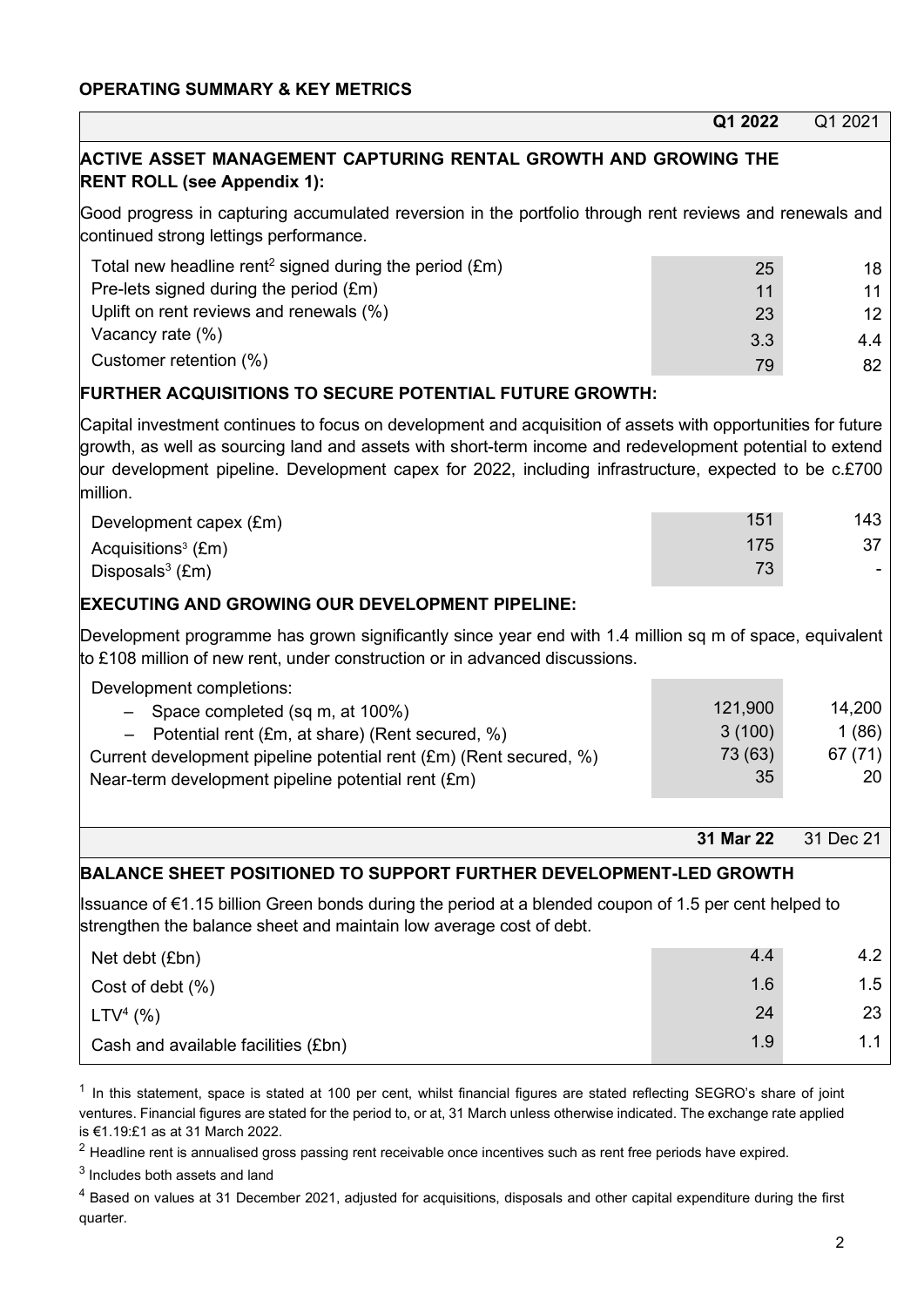|                                                                                                                                                                                                                                                                                                                                               | Q1 2022                            | Q1 2021                          |  |  |
|-----------------------------------------------------------------------------------------------------------------------------------------------------------------------------------------------------------------------------------------------------------------------------------------------------------------------------------------------|------------------------------------|----------------------------------|--|--|
| ACTIVE ASSET MANAGEMENT CAPTURING RENTAL GROWTH AND GROWING THE<br><b>RENT ROLL (see Appendix 1):</b>                                                                                                                                                                                                                                         |                                    |                                  |  |  |
| Good progress in capturing accumulated reversion in the portfolio through rent reviews and renewals and<br>continued strong lettings performance.                                                                                                                                                                                             |                                    |                                  |  |  |
| Total new headline rent <sup>2</sup> signed during the period $(f.m)$<br>Pre-lets signed during the period (£m)<br>Uplift on rent reviews and renewals (%)<br>Vacancy rate (%)                                                                                                                                                                | 25<br>11<br>23                     | 18<br>11<br>12                   |  |  |
| Customer retention (%)                                                                                                                                                                                                                                                                                                                        | 3.3<br>79                          | 4.4<br>82                        |  |  |
| <b>FURTHER ACQUISITIONS TO SECURE POTENTIAL FUTURE GROWTH:</b>                                                                                                                                                                                                                                                                                |                                    |                                  |  |  |
| Capital investment continues to focus on development and acquisition of assets with opportunities for future<br>growth, as well as sourcing land and assets with short-term income and redevelopment potential to extend<br>our development pipeline. Development capex for 2022, including infrastructure, expected to be c.£700<br>million. |                                    |                                  |  |  |
| Development capex (£m)                                                                                                                                                                                                                                                                                                                        | 151                                | 143                              |  |  |
| Acquisitions <sup>3</sup> (£m)<br>Disposals $3$ (£m)                                                                                                                                                                                                                                                                                          | 175<br>73                          | 37                               |  |  |
| <b>EXECUTING AND GROWING OUR DEVELOPMENT PIPELINE:</b>                                                                                                                                                                                                                                                                                        |                                    |                                  |  |  |
| Development programme has grown significantly since year end with 1.4 million sq m of space, equivalent<br>to £108 million of new rent, under construction or in advanced discussions.                                                                                                                                                        |                                    |                                  |  |  |
| Development completions:<br>Space completed (sq m, at 100%)<br>Potential rent (£m, at share) (Rent secured, %)<br>Current development pipeline potential rent (£m) (Rent secured, %)<br>Near-term development pipeline potential rent (£m)                                                                                                    | 121,900<br>3(100)<br>73 (63)<br>35 | 14,200<br>1(86)<br>67 (71)<br>20 |  |  |
|                                                                                                                                                                                                                                                                                                                                               | 31 Mar 22                          | 31 Dec 21                        |  |  |
|                                                                                                                                                                                                                                                                                                                                               |                                    |                                  |  |  |
| BALANCE SHEET POSITIONED TO SUPPORT FURTHER DEVELOPMENT-LED GROWTH<br> Issuance of €1.15 billion Green bonds during the period at a blended coupon of 1.5 per cent helped to<br>strengthen the balance sheet and maintain low average cost of debt.                                                                                           |                                    |                                  |  |  |
| Net debt (£bn)                                                                                                                                                                                                                                                                                                                                | 4.4                                | 4.2                              |  |  |
| Cost of debt (%)                                                                                                                                                                                                                                                                                                                              | 1.6                                | 1.5                              |  |  |
| $LTV4$ (%)                                                                                                                                                                                                                                                                                                                                    | 24                                 | 23                               |  |  |
| Cash and available facilities (£bn)                                                                                                                                                                                                                                                                                                           | 1.9                                | 1.1                              |  |  |

 $1$  In this statement, space is stated at 100 per cent, whilst financial figures are stated reflecting SEGRO's share of joint ventures. Financial figures are stated for the period to, or at, 31 March unless otherwise indicated. The exchange rate applied is €1.19:£1 as at 31 March 2022.

 $2$  Headline rent is annualised gross passing rent receivable once incentives such as rent free periods have expired.

<sup>3</sup> Includes both assets and land

<sup>4</sup> Based on values at 31 December 2021, adjusted for acquisitions, disposals and other capital expenditure during the first quarter.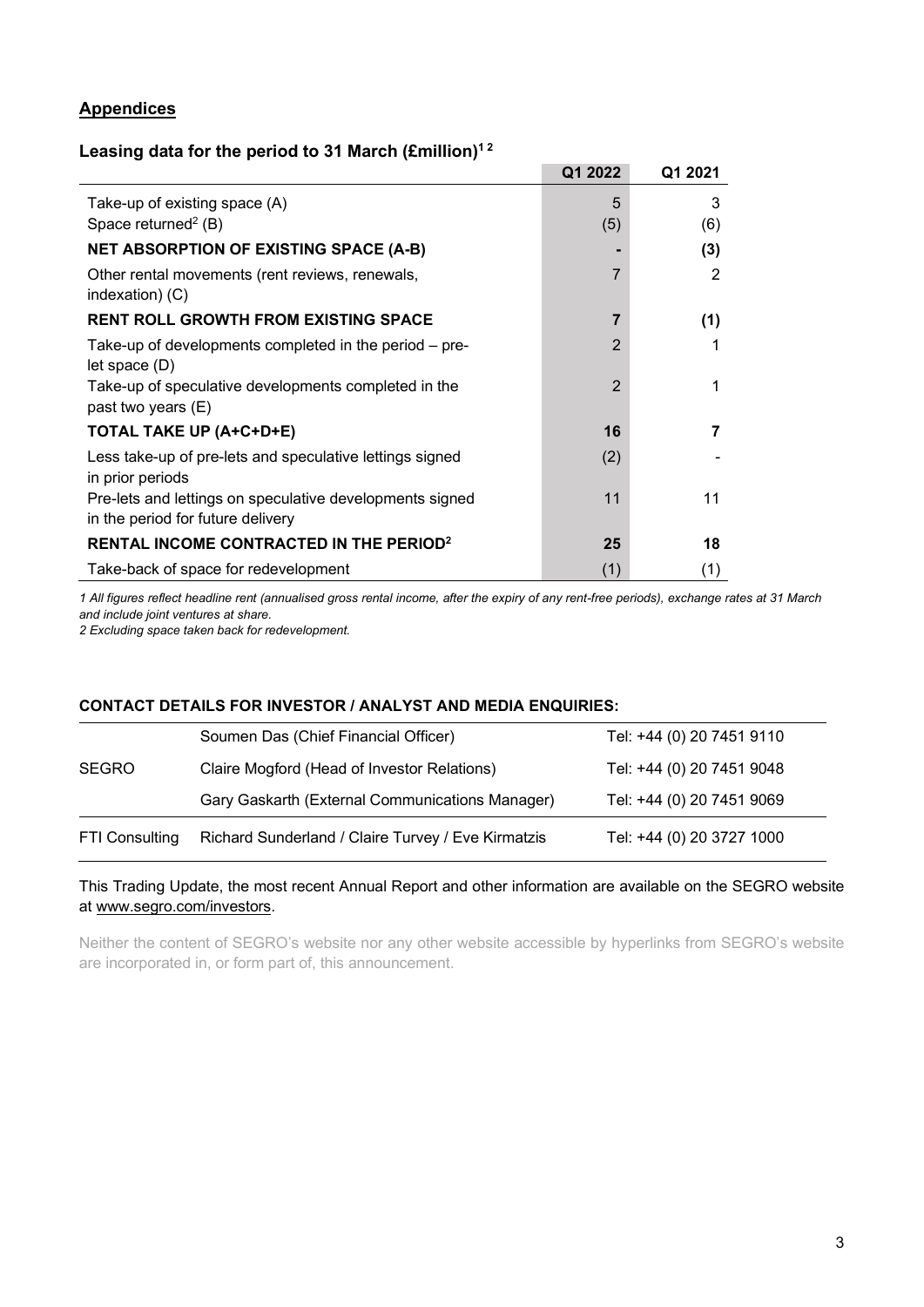## **Appendices**

## **Leasing data for the period to 31 March (£million)1 <sup>2</sup>**

|                                                                              | Q1 2022        | Q1 2021 |
|------------------------------------------------------------------------------|----------------|---------|
| Take-up of existing space (A)                                                | 5              | 3       |
| Space returned <sup>2</sup> (B)                                              | (5)            | (6)     |
| <b>NET ABSORPTION OF EXISTING SPACE (A-B)</b>                                |                | (3)     |
| Other rental movements (rent reviews, renewals,<br>indexation) (C)           | $\overline{7}$ | 2       |
| <b>RENT ROLL GROWTH FROM EXISTING SPACE</b>                                  | 7              | (1)     |
| Take-up of developments completed in the period – pre-<br>let space (D)      | $\overline{2}$ | 1       |
| Take-up of speculative developments completed in the<br>past two years (E)   | $\overline{2}$ | 1       |
| TOTAL TAKE UP (A+C+D+E)                                                      | 16             | 7       |
| Less take-up of pre-lets and speculative lettings signed<br>in prior periods | (2)            |         |
| Pre-lets and lettings on speculative developments signed                     | 11             | 11      |
| in the period for future delivery                                            |                |         |
| <b>RENTAL INCOME CONTRACTED IN THE PERIOD?</b>                               | 25             | 18      |
| Take-back of space for redevelopment                                         | (1)            | (1)     |

*1 All figures reflect headline rent (annualised gross rental income, after the expiry of any rent-free periods), exchange rates at 31 March and include joint ventures at share.*

*2 Excluding space taken back for redevelopment.*

### **CONTACT DETAILS FOR INVESTOR / ANALYST AND MEDIA ENQUIRIES:**

| <b>FTI Consulting</b> | Richard Sunderland / Claire Turvey / Eve Kirmatzis | Tel: +44 (0) 20 3727 1000 |
|-----------------------|----------------------------------------------------|---------------------------|
|                       | Gary Gaskarth (External Communications Manager)    | Tel: +44 (0) 20 7451 9069 |
| <b>SEGRO</b>          | Claire Mogford (Head of Investor Relations)        | Tel: +44 (0) 20 7451 9048 |
|                       | Soumen Das (Chief Financial Officer)               | Tel: +44 (0) 20 7451 9110 |

#### This Trading Update, the most recent Annual Report and other information are available on the SEGRO website at [www.segro.com/investors.](http://www.segro.com/investors)

Neither the content of SEGRO's website nor any other website accessible by hyperlinks from SEGRO's website are incorporated in, or form part of, this announcement.